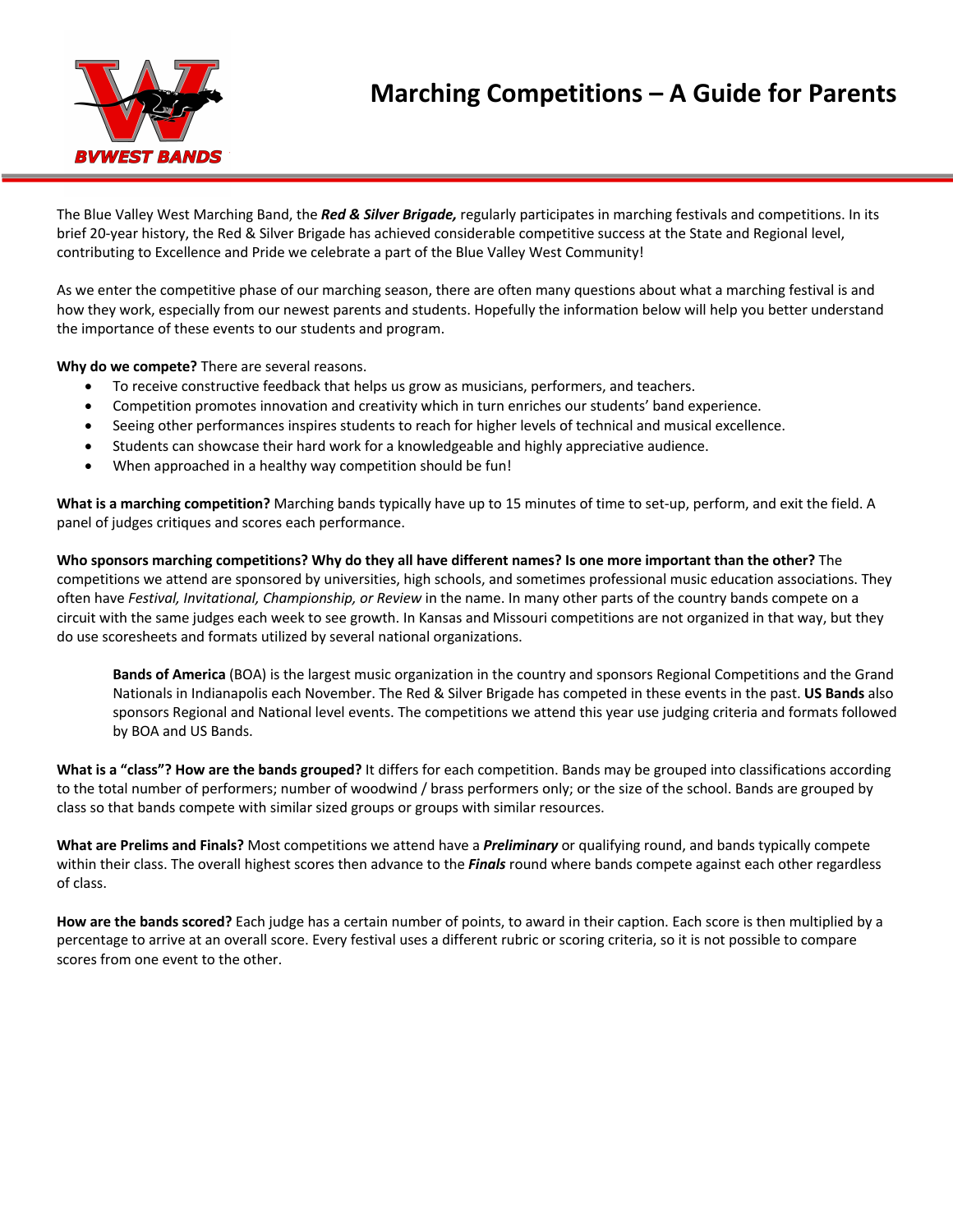

The Blue Valley West Marching Band, the *Red & Silver Brigade,* regularly participates in marching festivals and competitions. In its brief 20-year history, the Red & Silver Brigade has achieved considerable competitive success at the State and Regional level, contributing to Excellence and Pride we celebrate a part of the Blue Valley West Community!

As we enter the competitive phase of our marching season, there are often many questions about what a marching festival is and how they work, especially from our newest parents and students. Hopefully the information below will help you better understand the importance of these events to our students and program.

**Why do we compete?** There are several reasons.

- To receive constructive feedback that helps us grow as musicians, performers, and teachers.
- Competition promotes innovation and creativity which in turn enriches our students' band experience.
- Seeing other performances inspires students to reach for higher levels of technical and musical excellence.
- Students can showcase their hard work for a knowledgeable and highly appreciative audience.
- When approached in a healthy way competition should be fun!

**What is a marching competition?** Marching bands typically have up to 15 minutes of time to set-up, perform, and exit the field. A panel of judges critiques and scores each performance.

**Who sponsors marching competitions? Why do they all have different names? Is one more important than the other?** The competitions we attend are sponsored by universities, high schools, and sometimes professional music education associations. They often have *Festival, Invitational, Championship, or Review* in the name. In many other parts of the country bands compete on a circuit with the same judges each week to see growth. In Kansas and Missouri competitions are not organized in that way, but they do use scoresheets and formats utilized by several national organizations.

**Bands of America** (BOA) is the largest music organization in the country and sponsors Regional Competitions and the Grand Nationals in Indianapolis each November. The Red & Silver Brigade has competed in these events in the past. **US Bands** also sponsors Regional and National level events. The competitions we attend this year use judging criteria and formats followed by BOA and US Bands.

**What is a "class"? How are the bands grouped?** It differs for each competition. Bands may be grouped into classifications according to the total number of performers; number of woodwind / brass performers only; or the size of the school. Bands are grouped by class so that bands compete with similar sized groups or groups with similar resources.

**What are Prelims and Finals?** Most competitions we attend have a *Preliminary* or qualifying round, and bands typically compete within their class. The overall highest scores then advance to the *Finals* round where bands compete against each other regardless of class.

**How are the bands scored?** Each judge has a certain number of points, to award in their caption. Each score is then multiplied by a percentage to arrive at an overall score. Every festival uses a different rubric or scoring criteria, so it is not possible to compare scores from one event to the other.